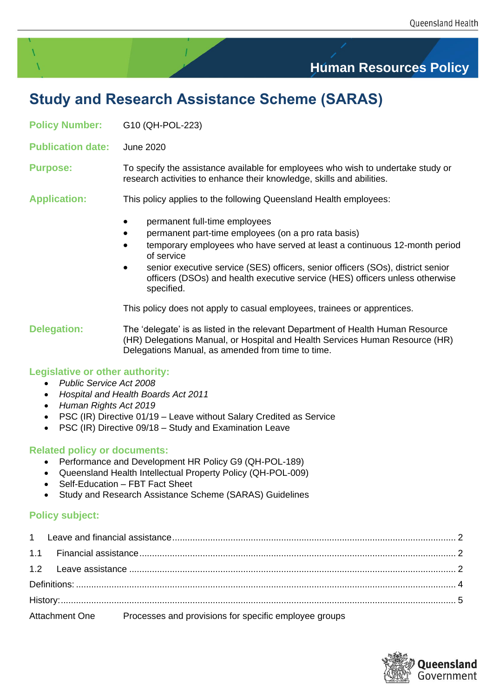# **Human Resources Policy**

# **Study and Research Assistance Scheme (SARAS)**

**Policy Number:** G10 (QH-POL-223)

**Publication date:** June 2020

**Purpose:** To specify the assistance available for employees who wish to undertake study or research activities to enhance their knowledge, skills and abilities.

**Application:** This policy applies to the following Queensland Health employees:

- permanent full-time employees
- permanent part-time employees (on a pro rata basis)
- temporary employees who have served at least a continuous 12-month period of service
- senior executive service (SES) officers, senior officers (SOs), district senior officers (DSOs) and health executive service (HES) officers unless otherwise specified.

This policy does not apply to casual employees, trainees or apprentices.

**Delegation:** The 'delegate' is as listed in the relevant Department of Health Human Resource (HR) Delegations Manual, or Hospital and Health Services Human Resource (HR) Delegations Manual, as amended from time to time.

### **Legislative or other authority:**

- *Public Service Act 2008*
- *Hospital and Health Boards Act 2011*
- *Human Rights Act 2019*
- PSC (IR) Directive 01/19 Leave without Salary Credited as Service
- PSC (IR) Directive 09/18 Study and Examination Leave

### **Related policy or documents:**

- Performance and Development HR Policy G9 (QH-POL-189)
- Queensland Health Intellectual Property Policy (QH-POL-009)
- Self-Education FBT Fact Sheet
- Study and Research Assistance Scheme (SARAS) Guidelines

## **Policy subject:**

|  |  | Attachment One Processes and provisions for specific employee groups |  |
|--|--|----------------------------------------------------------------------|--|

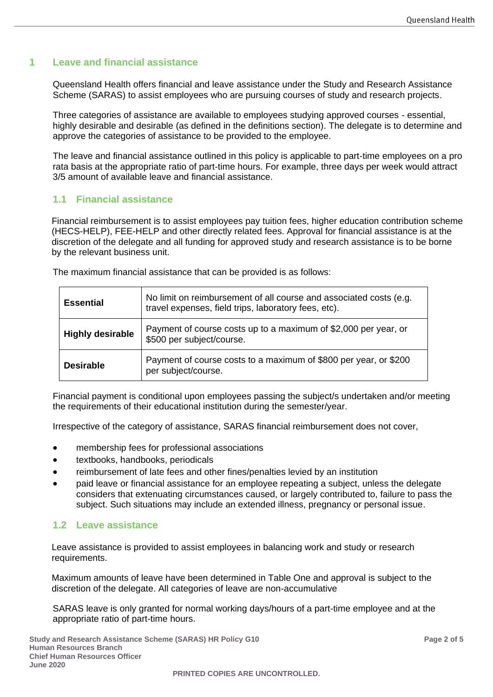### <span id="page-1-0"></span>**1 Leave and financial assistance**

Queensland Health offers financial and leave assistance under the Study and Research Assistance Scheme (SARAS) to assist employees who are pursuing courses of study and research projects.

Three categories of assistance are available to employees studying approved courses - essential, highly desirable and desirable (as defined in the definitions section). The delegate is to determine and approve the categories of assistance to be provided to the employee.

The leave and financial assistance outlined in this policy is applicable to part-time employees on a pro rata basis at the appropriate ratio of part-time hours. For example, three days per week would attract 3/5 amount of available leave and financial assistance.

## <span id="page-1-1"></span>**1.1 Financial assistance**

Financial reimbursement is to assist employees pay tuition fees, higher education contribution scheme (HECS-HELP), FEE-HELP and other directly related fees. Approval for financial assistance is at the discretion of the delegate and all funding for approved study and research assistance is to be borne by the relevant business unit.

The maximum financial assistance that can be provided is as follows:

| <b>Essential</b>        | No limit on reimbursement of all course and associated costs (e.g.<br>travel expenses, field trips, laboratory fees, etc). |
|-------------------------|----------------------------------------------------------------------------------------------------------------------------|
| <b>Highly desirable</b> | Payment of course costs up to a maximum of \$2,000 per year, or<br>\$500 per subject/course.                               |
| <b>Desirable</b>        | Payment of course costs to a maximum of \$800 per year, or \$200<br>per subject/course.                                    |

Financial payment is conditional upon employees passing the subject/s undertaken and/or meeting the requirements of their educational institution during the semester/year.

Irrespective of the category of assistance, SARAS financial reimbursement does not cover,

- membership fees for professional associations
- textbooks, handbooks, periodicals
- reimbursement of late fees and other fines/penalties levied by an institution
- paid leave or financial assistance for an employee repeating a subject, unless the delegate considers that extenuating circumstances caused, or largely contributed to, failure to pass the subject. Such situations may include an extended illness, pregnancy or personal issue.

## <span id="page-1-2"></span>**1.2 Leave assistance**

Leave assistance is provided to assist employees in balancing work and study or research requirements.

Maximum amounts of leave have been determined in Table One and approval is subject to the discretion of the delegate. All categories of leave are non-accumulative

SARAS leave is only granted for normal working days/hours of a part-time employee and at the appropriate ratio of part-time hours.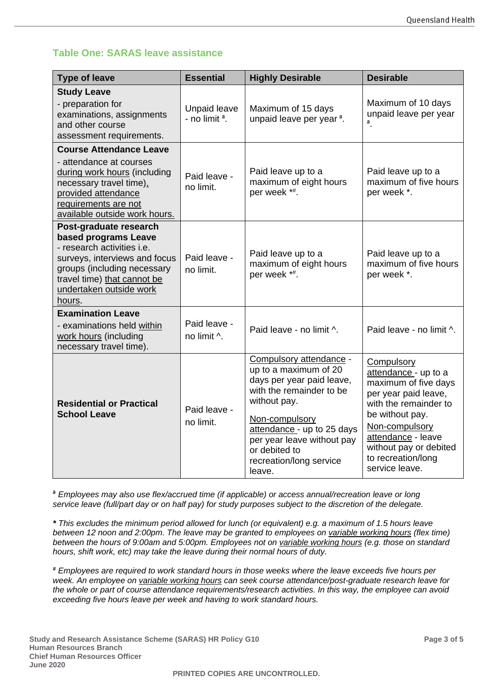# **Table One: SARAS leave assistance**

| <b>Type of leave</b>                                                                                                                                                                                             | <b>Essential</b>                        | <b>Highly Desirable</b>                                                                                                                                                                                                                                       | <b>Desirable</b>                                                                                                                                                                                                                         |
|------------------------------------------------------------------------------------------------------------------------------------------------------------------------------------------------------------------|-----------------------------------------|---------------------------------------------------------------------------------------------------------------------------------------------------------------------------------------------------------------------------------------------------------------|------------------------------------------------------------------------------------------------------------------------------------------------------------------------------------------------------------------------------------------|
| <b>Study Leave</b><br>- preparation for<br>examinations, assignments<br>and other course<br>assessment requirements.                                                                                             | <b>Unpaid leave</b><br>- no limit $a$ . | Maximum of 15 days<br>unpaid leave per year <sup>a</sup> .                                                                                                                                                                                                    | Maximum of 10 days<br>unpaid leave per year<br>$^a.$                                                                                                                                                                                     |
| <b>Course Attendance Leave</b><br>- attendance at courses<br>during work hours (including<br>necessary travel time),<br>provided attendance<br>requirements are not<br>available outside work hours.             | Paid leave -<br>no limit.               | Paid leave up to a<br>maximum of eight hours<br>per week *#.                                                                                                                                                                                                  | Paid leave up to a<br>maximum of five hours<br>per week *.                                                                                                                                                                               |
| Post-graduate research<br>based programs Leave<br>- research activities i.e.<br>surveys, interviews and focus<br>groups (including necessary<br>travel time) that cannot be<br>undertaken outside work<br>hours. | Paid leave -<br>no limit.               | Paid leave up to a<br>maximum of eight hours<br>per week *#.                                                                                                                                                                                                  | Paid leave up to a<br>maximum of five hours<br>per week *.                                                                                                                                                                               |
| <b>Examination Leave</b><br>- examinations held within<br>work hours (including<br>necessary travel time).                                                                                                       | Paid leave -<br>no limit ^.             | Paid leave - no limit ^.                                                                                                                                                                                                                                      | Paid leave - no limit ^.                                                                                                                                                                                                                 |
| <b>Residential or Practical</b><br><b>School Leave</b>                                                                                                                                                           | Paid leave -<br>no limit.               | Compulsory attendance -<br>up to a maximum of 20<br>days per year paid leave,<br>with the remainder to be<br>without pay.<br>Non-compulsory<br>attendance - up to 25 days<br>per year leave without pay<br>or debited to<br>recreation/long service<br>leave. | Compulsory<br>attendance - up to a<br>maximum of five days<br>per year paid leave,<br>with the remainder to<br>be without pay.<br>Non-compulsory<br>attendance - leave<br>without pay or debited<br>to recreation/long<br>service leave. |

ª *Employees may also use flex/accrued time (if applicable) or access annual/recreation leave or long service leave (full/part day or on half pay) for study purposes subject to the discretion of the delegate.*

*\* This excludes the minimum period allowed for lunch (or equivalent) e.g. a maximum of 1.5 hours leave between 12 noon and 2:00pm. The leave may be granted to employees on variable working hours (flex time) between the hours of 9:00am and 5:00pm. Employees not on variable working hours (e.g. those on standard hours, shift work, etc) may take the leave during their normal hours of duty.* 

*# Employees are required to work standard hours in those weeks where the leave exceeds five hours per week. An employee on variable working hours can seek course attendance/post-graduate research leave for the whole or part of course attendance requirements/research activities. In this way, the employee can avoid exceeding five hours leave per week and having to work standard hours.*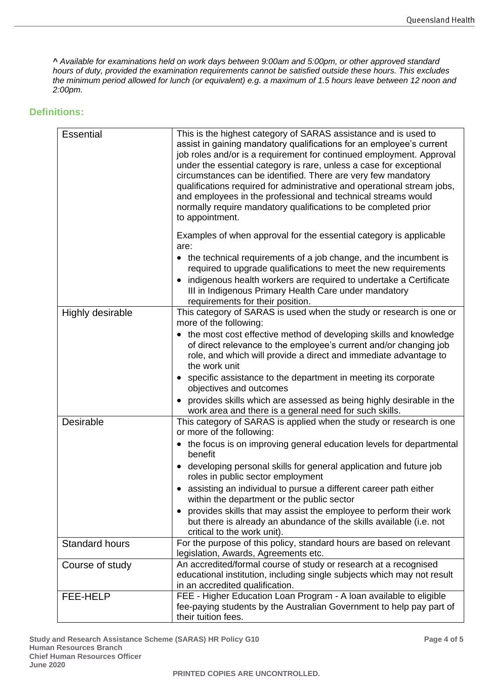*^ Available for examinations held on work days between 9:00am and 5:00pm, or other approved standard hours of duty, provided the examination requirements cannot be satisfied outside these hours. This excludes the minimum period allowed for lunch (or equivalent) e.g. a maximum of 1.5 hours leave between 12 noon and 2:00pm.*

### <span id="page-3-0"></span>**Definitions:**

| <b>Essential</b>      | This is the highest category of SARAS assistance and is used to<br>assist in gaining mandatory qualifications for an employee's current<br>job roles and/or is a requirement for continued employment. Approval<br>under the essential category is rare, unless a case for exceptional<br>circumstances can be identified. There are very few mandatory<br>qualifications required for administrative and operational stream jobs,<br>and employees in the professional and technical streams would<br>normally require mandatory qualifications to be completed prior<br>to appointment. |
|-----------------------|-------------------------------------------------------------------------------------------------------------------------------------------------------------------------------------------------------------------------------------------------------------------------------------------------------------------------------------------------------------------------------------------------------------------------------------------------------------------------------------------------------------------------------------------------------------------------------------------|
|                       | Examples of when approval for the essential category is applicable<br>are:                                                                                                                                                                                                                                                                                                                                                                                                                                                                                                                |
|                       | • the technical requirements of a job change, and the incumbent is<br>required to upgrade qualifications to meet the new requirements<br>indigenous health workers are required to undertake a Certificate<br>III in Indigenous Primary Health Care under mandatory<br>requirements for their position.                                                                                                                                                                                                                                                                                   |
| Highly desirable      | This category of SARAS is used when the study or research is one or                                                                                                                                                                                                                                                                                                                                                                                                                                                                                                                       |
|                       | more of the following:<br>• the most cost effective method of developing skills and knowledge<br>of direct relevance to the employee's current and/or changing job<br>role, and which will provide a direct and immediate advantage to<br>the work unit                                                                                                                                                                                                                                                                                                                                   |
|                       | • specific assistance to the department in meeting its corporate<br>objectives and outcomes                                                                                                                                                                                                                                                                                                                                                                                                                                                                                               |
|                       | provides skills which are assessed as being highly desirable in the<br>work area and there is a general need for such skills.                                                                                                                                                                                                                                                                                                                                                                                                                                                             |
| <b>Desirable</b>      | This category of SARAS is applied when the study or research is one<br>or more of the following:                                                                                                                                                                                                                                                                                                                                                                                                                                                                                          |
|                       | • the focus is on improving general education levels for departmental<br>benefit                                                                                                                                                                                                                                                                                                                                                                                                                                                                                                          |
|                       | developing personal skills for general application and future job<br>roles in public sector employment                                                                                                                                                                                                                                                                                                                                                                                                                                                                                    |
|                       | • assisting an individual to pursue a different career path either<br>within the department or the public sector                                                                                                                                                                                                                                                                                                                                                                                                                                                                          |
|                       | • provides skills that may assist the employee to perform their work<br>but there is already an abundance of the skills available (i.e. not<br>critical to the work unit).                                                                                                                                                                                                                                                                                                                                                                                                                |
| <b>Standard hours</b> | For the purpose of this policy, standard hours are based on relevant<br>legislation, Awards, Agreements etc.                                                                                                                                                                                                                                                                                                                                                                                                                                                                              |
| Course of study       | An accredited/formal course of study or research at a recognised<br>educational institution, including single subjects which may not result<br>in an accredited qualification.                                                                                                                                                                                                                                                                                                                                                                                                            |
| FEE-HELP              | FEE - Higher Education Loan Program - A loan available to eligible<br>fee-paying students by the Australian Government to help pay part of<br>their tuition fees.                                                                                                                                                                                                                                                                                                                                                                                                                         |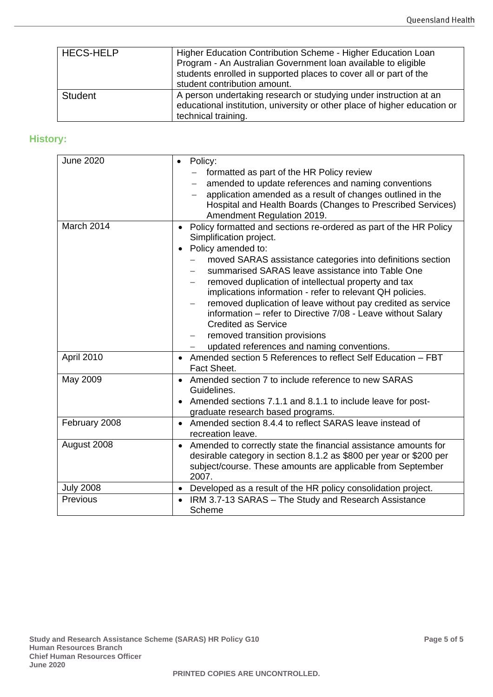| <b>HECS-HELP</b> | Higher Education Contribution Scheme - Higher Education Loan<br>Program - An Australian Government Ioan available to eligible<br>students enrolled in supported places to cover all or part of the<br>student contribution amount. |
|------------------|------------------------------------------------------------------------------------------------------------------------------------------------------------------------------------------------------------------------------------|
| Student          | A person undertaking research or studying under instruction at an<br>educational institution, university or other place of higher education or<br>technical training.                                                              |

# <span id="page-4-0"></span>**History:**

| <b>June 2020</b> | Policy:<br>$\bullet$<br>formatted as part of the HR Policy review              |
|------------------|--------------------------------------------------------------------------------|
|                  | amended to update references and naming conventions                            |
|                  | application amended as a result of changes outlined in the                     |
|                  | Hospital and Health Boards (Changes to Prescribed Services)                    |
|                  | Amendment Regulation 2019.                                                     |
| March 2014       | Policy formatted and sections re-ordered as part of the HR Policy<br>$\bullet$ |
|                  | Simplification project.                                                        |
|                  |                                                                                |
|                  | Policy amended to:<br>$\bullet$                                                |
|                  | moved SARAS assistance categories into definitions section                     |
|                  | summarised SARAS leave assistance into Table One                               |
|                  | removed duplication of intellectual property and tax                           |
|                  | implications information - refer to relevant QH policies.                      |
|                  | removed duplication of leave without pay credited as service                   |
|                  | information - refer to Directive 7/08 - Leave without Salary                   |
|                  | <b>Credited as Service</b>                                                     |
|                  | removed transition provisions                                                  |
|                  | updated references and naming conventions.                                     |
| April 2010       | Amended section 5 References to reflect Self Education - FBT<br>$\bullet$      |
|                  | Fact Sheet.                                                                    |
| May 2009         | Amended section 7 to include reference to new SARAS<br>$\bullet$               |
|                  | Guidelines.                                                                    |
|                  | Amended sections 7.1.1 and 8.1.1 to include leave for post-                    |
|                  | graduate research based programs.                                              |
| February 2008    | Amended section 8.4.4 to reflect SARAS leave instead of<br>$\bullet$           |
|                  | recreation leave.                                                              |
| August 2008      | Amended to correctly state the financial assistance amounts for<br>$\bullet$   |
|                  | desirable category in section 8.1.2 as \$800 per year or \$200 per             |
|                  | subject/course. These amounts are applicable from September                    |
|                  | 2007.                                                                          |
| <b>July 2008</b> | Developed as a result of the HR policy consolidation project.<br>$\bullet$     |
| Previous         |                                                                                |
|                  | IRM 3.7-13 SARAS - The Study and Research Assistance                           |
|                  | Scheme                                                                         |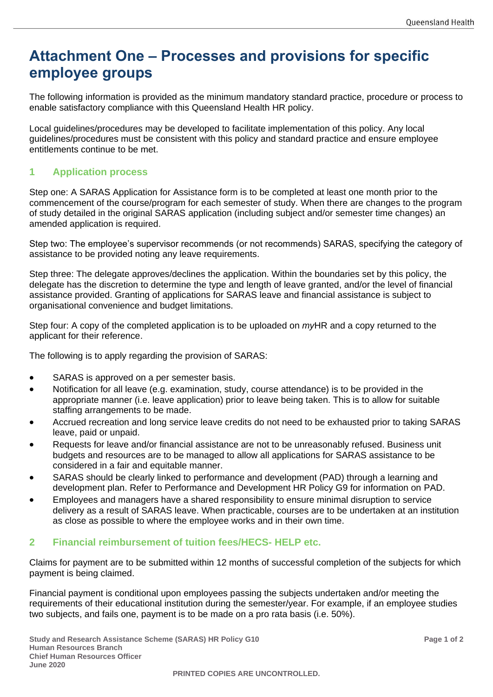# <span id="page-5-0"></span>**Attachment One – Processes and provisions for specific employee groups**

The following information is provided as the minimum mandatory standard practice, procedure or process to enable satisfactory compliance with this Queensland Health HR policy.

Local guidelines/procedures may be developed to facilitate implementation of this policy. Any local guidelines/procedures must be consistent with this policy and standard practice and ensure employee entitlements continue to be met.

## **1 Application process**

Step one: A SARAS Application for Assistance form is to be completed at least one month prior to the commencement of the course/program for each semester of study. When there are changes to the program of study detailed in the original SARAS application (including subject and/or semester time changes) an amended application is required.

Step two: The employee's supervisor recommends (or not recommends) SARAS, specifying the category of assistance to be provided noting any leave requirements.

Step three: The delegate approves/declines the application. Within the boundaries set by this policy, the delegate has the discretion to determine the type and length of leave granted, and/or the level of financial assistance provided. Granting of applications for SARAS leave and financial assistance is subject to organisational convenience and budget limitations.

Step four: A copy of the completed application is to be uploaded on *my*HR and a copy returned to the applicant for their reference.

The following is to apply regarding the provision of SARAS:

- SARAS is approved on a per semester basis.
- Notification for all leave (e.g. examination, study, course attendance) is to be provided in the appropriate manner (i.e. leave application) prior to leave being taken. This is to allow for suitable staffing arrangements to be made.
- Accrued recreation and long service leave credits do not need to be exhausted prior to taking SARAS leave, paid or unpaid.
- Requests for leave and/or financial assistance are not to be unreasonably refused. Business unit budgets and resources are to be managed to allow all applications for SARAS assistance to be considered in a fair and equitable manner.
- SARAS should be clearly linked to performance and development (PAD) through a learning and development plan. Refer to Performance and Development HR Policy G9 for information on PAD.
- Employees and managers have a shared responsibility to ensure minimal disruption to service delivery as a result of SARAS leave. When practicable, courses are to be undertaken at an institution as close as possible to where the employee works and in their own time.

### **2 Financial reimbursement of tuition fees/HECS- HELP etc.**

Claims for payment are to be submitted within 12 months of successful completion of the subjects for which payment is being claimed.

Financial payment is conditional upon employees passing the subjects undertaken and/or meeting the requirements of their educational institution during the semester/year. For example, if an employee studies two subjects, and fails one, payment is to be made on a pro rata basis (i.e. 50%).